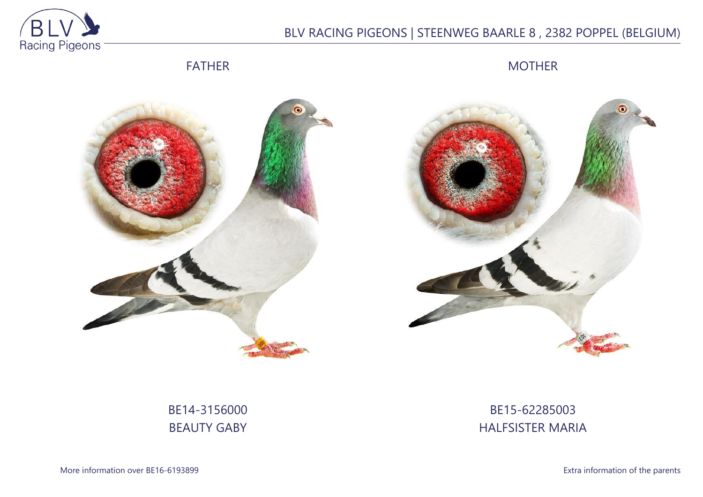

## BLV RACING PIGEONS | STEENWEG BAARLE 8 , 2382 POPPEL (BELGIUM)

FATHER

MOTHER





BE14-3156000 BEAUTY GABY

BE15-62285003 HALFSISTER MARIA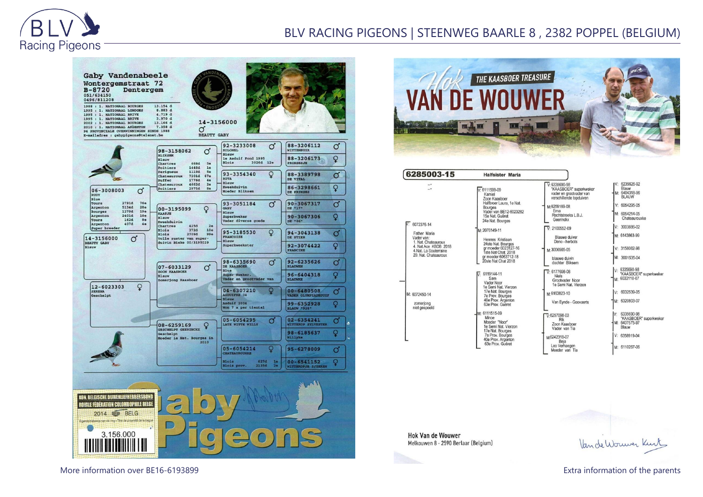

## BLV RACING PIGEONS | STEENWEG BAARLE 8 , 2382 POPPEL (BELGIUM)





6285003-15 **Halfsister Maria** 6235626-92  $\sqrt{6335690.98}$  $\rightarrow$ L. "KAASBOER" superkweker Blauw<br>6404318-96  $V$ -6111599-09 vader en grootvader van Kamiel **RI AIIW** verschillende tonduiven Zoon Kaasboer Halfbroer Laura 1e Nat M:6259169-08 6054295-05 Bourges Bourges<br>Vader van BE12-6023282<br>15e Nat. Guéret Ema M: 6054214-05 Rechtstreeks L.B.J. Chateaurouxke 24e Nat. Bourges Geeringky 6072376-14 V: 3003886-02  $\nabla$  2100552-09 1:2076149-11 Father Maria M: 6143863-99 **Blauwe duiver** Vader van: Hennes Kristiaan 1. Nat. Chateauroux Deno - herbots Fiennes Kristiaan<br>24ste Nat. Bourges<br>gr moeder 6023127-16<br>1ste Nat Chat. 2018 4. Nat. Ace KBDB 2018<br>4. Nat. La Souterraine M: 3006565-05 V: 3158062-98 20. Nat. Chateauroux gr moeder 6063712-18 M: 3001535-04 blauwe duivin 20ste Nat Chat 2018 dochter Bliksem 6335690-98<br>"KAASBOER" superkweker  $\nabla: 6177698-08$ 6119144-11 **Niels** Sam M. 6033110-07 Grootvader Noor Vader Noor 1e Semi Nat. Vierzor The Semi Nat. Vierzon 17e Nat. Bourges  $4.6032539-05$ M-6163823-10 M: 6072450-14 7e Prov. Bourges 40e Prov. Argenton M: 6320803-07 Van Eynde - Goovaerts zomerjong 63e Prov. Guéret niet gespeeld  $: 6111515-09$ 6335690-98  $\nabla 6257098-03$ Minoe "KAASBOER" superkweker Rik Moeder "Noor" M: 6407575-97 Zoon Kaasboer 1e Semi Nat. Vierzon Vader van Tia **Rlauw** 17e Nat. Bourges **7e Prov. Bourges** 6358919-04 M6242318-07 40e Prov. Argento Beia 63e Prov. Guéret Leo Verhaeger M: 6110267-06 Moeder van Tia

**Hok Van de Wouwer** Melkouwen 8 - 2590 Berlaar (Belgium)

Vande Worwer Kink

More information over BE16-6193899 **Extra information of the parents**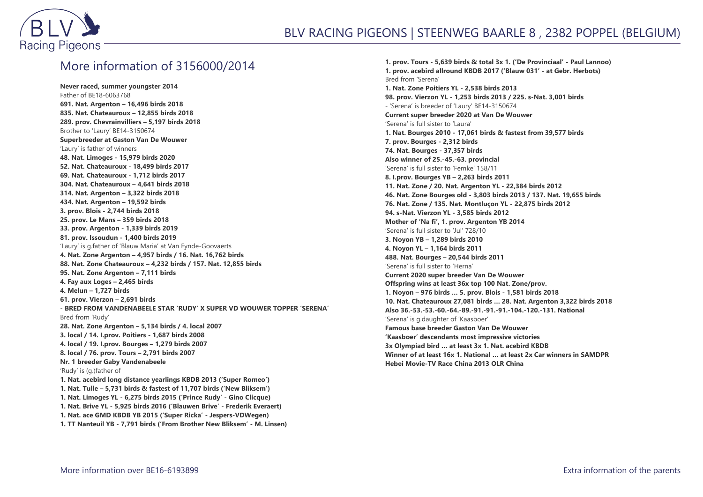

## More information of 3156000/2014

**Never raced, summer youngster 2014** Father of BE18-6063768 **691. Nat. Argenton – 16,496 birds 2018 835. Nat. Chateauroux – 12,855 birds 2018 289. prov. Chevrainvilliers – 5,197 birds 2018** Brother to 'Laury' BE14-3150674 **Superbreeder at Gaston Van De Wouwer** 'Laury' is father of winners **48. Nat. Limoges - 15,979 birds 2020 52. Nat. Chateauroux - 18,499 birds 2017 69. Nat. Chateauroux - 1,712 birds 2017 304. Nat. Chateauroux – 4,641 birds 2018 314. Nat. Argenton – 3,322 birds 2018 434. Nat. Argenton – 19,592 birds 3. prov. Blois - 2,744 birds 2018 25. prov. Le Mans – 359 birds 2018 33. prov. Argenton - 1,339 birds 2019 81. prov. Issoudun - 1,400 birds 2019** 'Laury' is g.father of 'Blauw Maria' at Van Eynde-Goovaerts **4. Nat. Zone Argenton – 4,957 birds / 16. Nat. 16,762 birds 88. Nat. Zone Chateauroux – 4,232 birds / 157. Nat. 12,855 birds 95. Nat. Zone Argenton – 7,111 birds 4. Fay aux Loges – 2,465 birds 4. Melun – 1,727 birds 61. prov. Vierzon – 2,691 birds - BRED FROM VANDENABEELE STAR 'RUDY' X SUPER VD WOUWER TOPPER 'SERENA'** Bred from 'Rudy' **28. Nat. Zone Argenton – 5,134 birds / 4. local 2007 3. local / 14. I.prov. Poitiers - 1,687 birds 2008 4. local / 19. I.prov. Bourges – 1,279 birds 2007 8. local / 76. prov. Tours – 2,791 birds 2007 Nr. 1 breeder Gaby Vandenabeele** 'Rudy' is (g.)father of **1. Nat. acebird long distance yearlings KBDB 2013 ('Super Romeo') 1. Nat. Tulle – 5,731 birds & fastest of 11,707 birds ('New Bliksem') 1. Nat. Limoges YL - 6,275 birds 2015 ('Prince Rudy' - Gino Clicque) 1. Nat. Brive YL - 5,925 birds 2016 ('Blauwen Brive' - Frederik Everaert) 1. Nat. ace GMD KBDB YB 2015 ('Super Ricka' - Jespers-VDWegen) 1. TT Nanteuil YB - 7,791 birds ('From Brother New Bliksem' - M. Linsen)**

**1. prov. Tours - 5,639 birds & total 3x 1. ('De Provinciaal' - Paul Lannoo) 1. prov. acebird allround KBDB 2017 ('Blauw 031' - at Gebr. Herbots)** Bred from 'Serena' **1. Nat. Zone Poitiers YL - 2,538 birds 2013 98. prov. Vierzon YL - 1,253 birds 2013 / 225. s-Nat. 3,001 birds** - 'Serena' is breeder of 'Laury' BE14-3150674 **Current super breeder 2020 at Van De Wouwer** 'Serena' is full sister to 'Laura' **1. Nat. Bourges 2010 - 17,061 birds & fastest from 39,577 birds 7. prov. Bourges - 2,312 birds 74. Nat. Bourges - 37,357 birds Also winner of 25.-45.-63. provincial** 'Serena' is full sister to 'Femke' 158/11 **8. I.prov. Bourges YB – 2,263 birds 2011 11. Nat. Zone / 20. Nat. Argenton YL - 22,384 birds 2012 46. Nat. Zone Bourges old - 3,803 birds 2013 / 137. Nat. 19,655 birds 76. Nat. Zone / 135. Nat. Montluçon YL - 22,875 birds 2012 94. s-Nat. Vierzon YL - 3,585 birds 2012 Mother of 'Na fi', 1. prov. Argenton YB 2014** 'Serena' is full sister to 'Jul' 728/10 **3. Noyon YB – 1,289 birds 2010 4. Noyon YL – 1,164 birds 2011 488. Nat. Bourges – 20,544 birds 2011** 'Serena' is full sister to 'Herna' **Current 2020 super breeder Van De Wouwer Offspring wins at least 36x top 100 Nat. Zone/prov. 1. Noyon – 976 birds … 5. prov. Blois - 1,581 birds 2018 10. Nat. Chateauroux 27,081 birds … 28. Nat. Argenton 3,322 birds 2018 Also 36.-53.-53.-60.-64.-89.-91.-91.-91.-104.-120.-131. National** 'Serena' is g.daughter of 'Kaasboer' **Famous base breeder Gaston Van De Wouwer 'Kaasboer' descendants most impressive victories 3x Olympiad bird … at least 3x 1. Nat. acebird KBDB Winner of at least 16x 1. National … at least 2x Car winners in SAMDPR Hebei Movie-TV Race China 2013 OLR China**